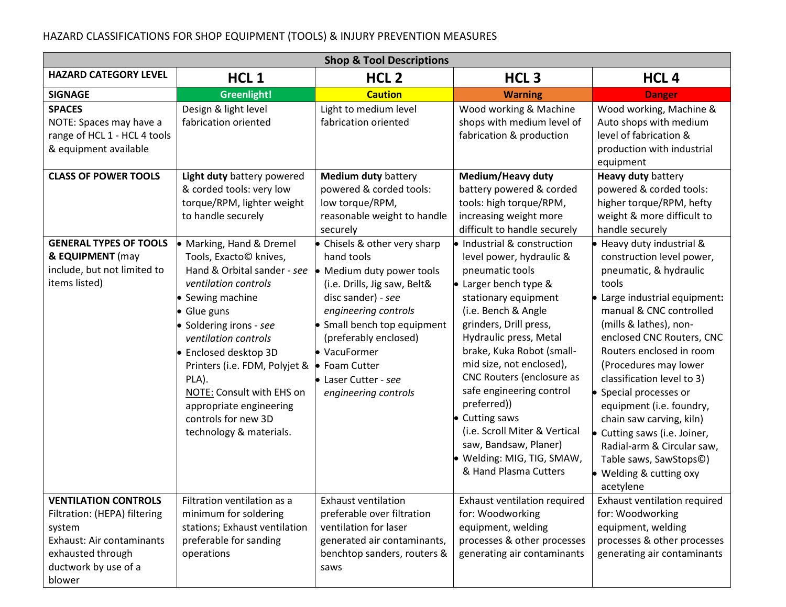## HAZARD CLASSIFICATIONS FOR SHOP EQUIPMENT (TOOLS) & INJURY PREVENTION MEASURES

| <b>Shop &amp; Tool Descriptions</b>                                                                                                                       |                                                                                                                                                                                                                                                                                                                                                                    |                                                                                                                                                                                                                                                                                      |                                                                                                                                                                                                                                                                                                                                                                                                                                                                            |                                                                                                                                                                                                                                                                                                                                                                                                                                                                                                                   |  |  |  |  |
|-----------------------------------------------------------------------------------------------------------------------------------------------------------|--------------------------------------------------------------------------------------------------------------------------------------------------------------------------------------------------------------------------------------------------------------------------------------------------------------------------------------------------------------------|--------------------------------------------------------------------------------------------------------------------------------------------------------------------------------------------------------------------------------------------------------------------------------------|----------------------------------------------------------------------------------------------------------------------------------------------------------------------------------------------------------------------------------------------------------------------------------------------------------------------------------------------------------------------------------------------------------------------------------------------------------------------------|-------------------------------------------------------------------------------------------------------------------------------------------------------------------------------------------------------------------------------------------------------------------------------------------------------------------------------------------------------------------------------------------------------------------------------------------------------------------------------------------------------------------|--|--|--|--|
| <b>HAZARD CATEGORY LEVEL</b>                                                                                                                              | HCL <sub>1</sub>                                                                                                                                                                                                                                                                                                                                                   | HCL <sub>2</sub>                                                                                                                                                                                                                                                                     | HCL <sub>3</sub>                                                                                                                                                                                                                                                                                                                                                                                                                                                           | HCL <sub>4</sub>                                                                                                                                                                                                                                                                                                                                                                                                                                                                                                  |  |  |  |  |
| <b>SIGNAGE</b>                                                                                                                                            | Greenlight!                                                                                                                                                                                                                                                                                                                                                        | <b>Caution</b>                                                                                                                                                                                                                                                                       | <b>Warning</b>                                                                                                                                                                                                                                                                                                                                                                                                                                                             | <b>Danger</b>                                                                                                                                                                                                                                                                                                                                                                                                                                                                                                     |  |  |  |  |
| <b>SPACES</b><br>NOTE: Spaces may have a<br>range of HCL 1 - HCL 4 tools<br>& equipment available                                                         | Design & light level<br>fabrication oriented                                                                                                                                                                                                                                                                                                                       | Light to medium level<br>fabrication oriented                                                                                                                                                                                                                                        | Wood working & Machine<br>shops with medium level of<br>fabrication & production                                                                                                                                                                                                                                                                                                                                                                                           | Wood working, Machine &<br>Auto shops with medium<br>level of fabrication &<br>production with industrial<br>equipment                                                                                                                                                                                                                                                                                                                                                                                            |  |  |  |  |
| <b>CLASS OF POWER TOOLS</b>                                                                                                                               | Light duty battery powered<br>& corded tools: very low<br>torque/RPM, lighter weight<br>to handle securely                                                                                                                                                                                                                                                         | <b>Medium duty battery</b><br>powered & corded tools:<br>low torque/RPM,<br>reasonable weight to handle<br>securely                                                                                                                                                                  | Medium/Heavy duty<br>battery powered & corded<br>tools: high torque/RPM,<br>increasing weight more<br>difficult to handle securely                                                                                                                                                                                                                                                                                                                                         | Heavy duty battery<br>powered & corded tools:<br>higher torque/RPM, hefty<br>weight & more difficult to<br>handle securely                                                                                                                                                                                                                                                                                                                                                                                        |  |  |  |  |
| <b>GENERAL TYPES OF TOOLS</b><br>& EQUIPMENT (may<br>include, but not limited to<br>items listed)                                                         | Marking, Hand & Dremel<br>Tools, Exacto© knives,<br>Hand & Orbital sander - see<br>ventilation controls<br>Sewing machine<br>Glue guns<br>Soldering irons - see<br>ventilation controls<br>Enclosed desktop 3D<br>Printers (i.e. FDM, Polyjet &<br>PLA).<br>NOTE: Consult with EHS on<br>appropriate engineering<br>controls for new 3D<br>technology & materials. | • Chisels & other very sharp<br>hand tools<br>Medium duty power tools<br>(i.e. Drills, Jig saw, Belt&<br>disc sander) - see<br>engineering controls<br>Small bench top equipment<br>(preferably enclosed)<br>VacuFormer<br>Foam Cutter<br>Laser Cutter - see<br>engineering controls | • Industrial & construction<br>level power, hydraulic &<br>pneumatic tools<br>• Larger bench type &<br>stationary equipment<br>(i.e. Bench & Angle<br>grinders, Drill press,<br>Hydraulic press, Metal<br>brake, Kuka Robot (small-<br>mid size, not enclosed),<br>CNC Routers (enclosure as<br>safe engineering control<br>preferred))<br>• Cutting saws<br>(i.e. Scroll Miter & Vertical<br>saw, Bandsaw, Planer)<br>· Welding: MIG, TIG, SMAW,<br>& Hand Plasma Cutters | • Heavy duty industrial &<br>construction level power,<br>pneumatic, & hydraulic<br>tools<br>• Large industrial equipment:<br>manual & CNC controlled<br>(mills & lathes), non-<br>enclosed CNC Routers, CNC<br>Routers enclosed in room<br>(Procedures may lower<br>classification level to 3)<br>• Special processes or<br>equipment (i.e. foundry,<br>chain saw carving, kiln)<br>• Cutting saws (i.e. Joiner,<br>Radial-arm & Circular saw,<br>Table saws, SawStops©)<br>• Welding & cutting oxy<br>acetylene |  |  |  |  |
| <b>VENTILATION CONTROLS</b><br>Filtration: (HEPA) filtering<br>system<br>Exhaust: Air contaminants<br>exhausted through<br>ductwork by use of a<br>blower | Filtration ventilation as a<br>minimum for soldering<br>stations; Exhaust ventilation<br>preferable for sanding<br>operations                                                                                                                                                                                                                                      | <b>Exhaust ventilation</b><br>preferable over filtration<br>ventilation for laser<br>generated air contaminants,<br>benchtop sanders, routers &<br>saws                                                                                                                              | Exhaust ventilation required<br>for: Woodworking<br>equipment, welding<br>processes & other processes<br>generating air contaminants                                                                                                                                                                                                                                                                                                                                       | Exhaust ventilation required<br>for: Woodworking<br>equipment, welding<br>processes & other processes<br>generating air contaminants                                                                                                                                                                                                                                                                                                                                                                              |  |  |  |  |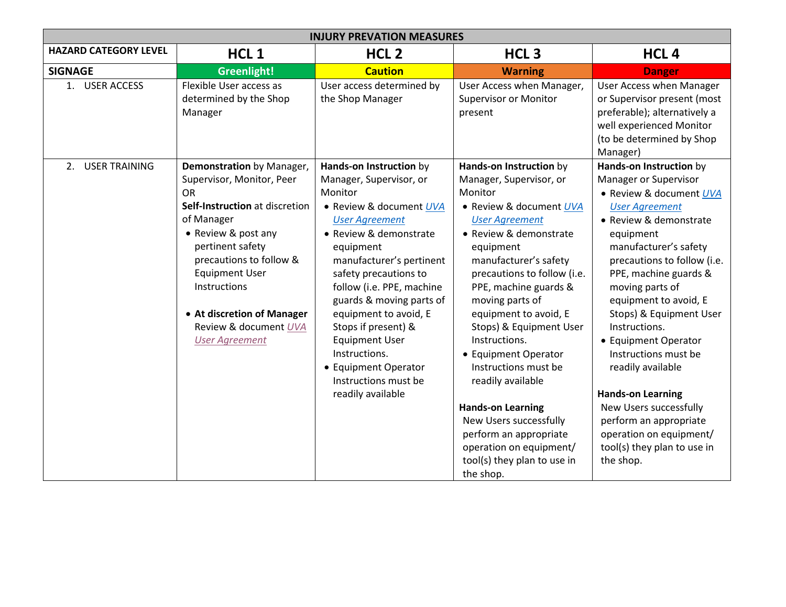| <b>INJURY PREVATION MEASURES</b> |                                                                                                                                                                                                                                                                                                                    |                                                                                                                                                                                                                                                                                                                                                                                                                                       |                                                                                                                                                                                                                                                                                                                                                                                                                                                                                                                                                               |                                                                                                                                                                                                                                                                                                                                                                                                                                                                                                                                                  |  |  |  |  |
|----------------------------------|--------------------------------------------------------------------------------------------------------------------------------------------------------------------------------------------------------------------------------------------------------------------------------------------------------------------|---------------------------------------------------------------------------------------------------------------------------------------------------------------------------------------------------------------------------------------------------------------------------------------------------------------------------------------------------------------------------------------------------------------------------------------|---------------------------------------------------------------------------------------------------------------------------------------------------------------------------------------------------------------------------------------------------------------------------------------------------------------------------------------------------------------------------------------------------------------------------------------------------------------------------------------------------------------------------------------------------------------|--------------------------------------------------------------------------------------------------------------------------------------------------------------------------------------------------------------------------------------------------------------------------------------------------------------------------------------------------------------------------------------------------------------------------------------------------------------------------------------------------------------------------------------------------|--|--|--|--|
| <b>HAZARD CATEGORY LEVEL</b>     | HCL <sub>1</sub>                                                                                                                                                                                                                                                                                                   | HCL <sub>2</sub>                                                                                                                                                                                                                                                                                                                                                                                                                      | HCL <sub>3</sub>                                                                                                                                                                                                                                                                                                                                                                                                                                                                                                                                              | HCL <sub>4</sub>                                                                                                                                                                                                                                                                                                                                                                                                                                                                                                                                 |  |  |  |  |
| <b>SIGNAGE</b>                   | Greenlight!                                                                                                                                                                                                                                                                                                        | <b>Caution</b>                                                                                                                                                                                                                                                                                                                                                                                                                        | <b>Warning</b>                                                                                                                                                                                                                                                                                                                                                                                                                                                                                                                                                | <b>Danger</b>                                                                                                                                                                                                                                                                                                                                                                                                                                                                                                                                    |  |  |  |  |
| 1. USER ACCESS                   | Flexible User access as<br>determined by the Shop<br>Manager                                                                                                                                                                                                                                                       | User access determined by<br>the Shop Manager                                                                                                                                                                                                                                                                                                                                                                                         | User Access when Manager,<br><b>Supervisor or Monitor</b><br>present                                                                                                                                                                                                                                                                                                                                                                                                                                                                                          | <b>User Access when Manager</b><br>or Supervisor present (most<br>preferable); alternatively a<br>well experienced Monitor<br>(to be determined by Shop<br>Manager)                                                                                                                                                                                                                                                                                                                                                                              |  |  |  |  |
| <b>USER TRAINING</b><br>2.       | Demonstration by Manager,<br>Supervisor, Monitor, Peer<br><b>OR</b><br>Self-Instruction at discretion<br>of Manager<br>• Review & post any<br>pertinent safety<br>precautions to follow &<br><b>Equipment User</b><br>Instructions<br>• At discretion of Manager<br>Review & document UVA<br><b>User Agreement</b> | Hands-on Instruction by<br>Manager, Supervisor, or<br>Monitor<br>• Review & document UVA<br><b>User Agreement</b><br>• Review & demonstrate<br>equipment<br>manufacturer's pertinent<br>safety precautions to<br>follow (i.e. PPE, machine<br>guards & moving parts of<br>equipment to avoid, E<br>Stops if present) &<br><b>Equipment User</b><br>Instructions.<br>• Equipment Operator<br>Instructions must be<br>readily available | Hands-on Instruction by<br>Manager, Supervisor, or<br>Monitor<br>• Review & document UVA<br><b>User Agreement</b><br>• Review & demonstrate<br>equipment<br>manufacturer's safety<br>precautions to follow (i.e.<br>PPE, machine guards &<br>moving parts of<br>equipment to avoid, E<br>Stops) & Equipment User<br>Instructions.<br>• Equipment Operator<br>Instructions must be<br>readily available<br><b>Hands-on Learning</b><br>New Users successfully<br>perform an appropriate<br>operation on equipment/<br>tool(s) they plan to use in<br>the shop. | Hands-on Instruction by<br>Manager or Supervisor<br>• Review & document UVA<br><b>User Agreement</b><br>• Review & demonstrate<br>equipment<br>manufacturer's safety<br>precautions to follow (i.e.<br>PPE, machine guards &<br>moving parts of<br>equipment to avoid, E<br>Stops) & Equipment User<br>Instructions.<br>• Equipment Operator<br>Instructions must be<br>readily available<br><b>Hands-on Learning</b><br>New Users successfully<br>perform an appropriate<br>operation on equipment/<br>tool(s) they plan to use in<br>the shop. |  |  |  |  |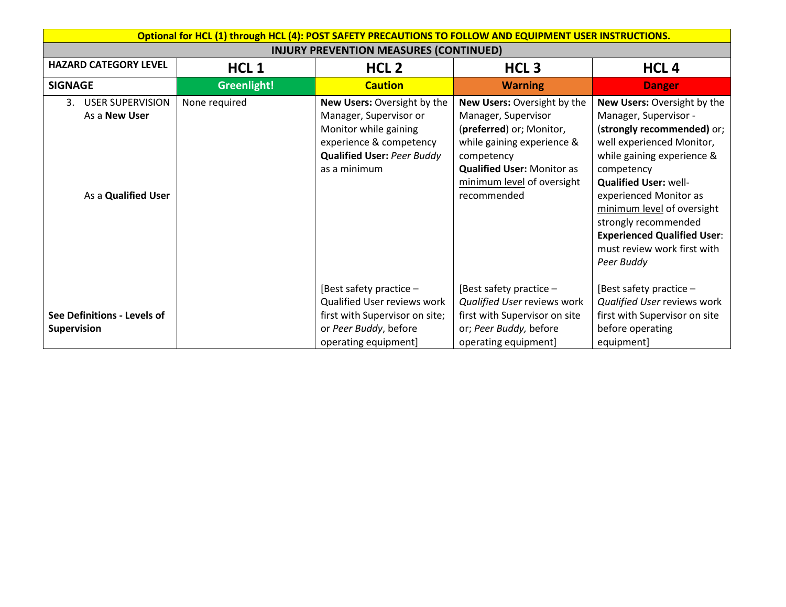| <b>HAZARD CATEGORY LEVEL</b><br><b>SIGNAGE</b>                               | HCL <sub>1</sub><br>Greenlight! | <b>INJURY PREVENTION MEASURES (CONTINUED)</b><br>HCL <sub>2</sub>                                                                                              | HCL <sub>3</sub>                                                                                                                                                                                             |                                                                                                                                                                                                                                                                                                                                                                |
|------------------------------------------------------------------------------|---------------------------------|----------------------------------------------------------------------------------------------------------------------------------------------------------------|--------------------------------------------------------------------------------------------------------------------------------------------------------------------------------------------------------------|----------------------------------------------------------------------------------------------------------------------------------------------------------------------------------------------------------------------------------------------------------------------------------------------------------------------------------------------------------------|
|                                                                              |                                 |                                                                                                                                                                |                                                                                                                                                                                                              |                                                                                                                                                                                                                                                                                                                                                                |
|                                                                              |                                 |                                                                                                                                                                |                                                                                                                                                                                                              | HCL <sub>4</sub>                                                                                                                                                                                                                                                                                                                                               |
|                                                                              |                                 | <b>Caution</b>                                                                                                                                                 | <b>Warning</b>                                                                                                                                                                                               | <b>Danger</b>                                                                                                                                                                                                                                                                                                                                                  |
| <b>USER SUPERVISION</b><br>3.<br>As a <b>New User</b><br>As a Qualified User | None required                   | New Users: Oversight by the<br>Manager, Supervisor or<br>Monitor while gaining<br>experience & competency<br><b>Qualified User: Peer Buddy</b><br>as a minimum | New Users: Oversight by the<br>Manager, Supervisor<br>(preferred) or; Monitor,<br>while gaining experience &<br>competency<br><b>Qualified User: Monitor as</b><br>minimum level of oversight<br>recommended | New Users: Oversight by the<br>Manager, Supervisor -<br>(strongly recommended) or;<br>well experienced Monitor,<br>while gaining experience &<br>competency<br><b>Qualified User: well-</b><br>experienced Monitor as<br>minimum level of oversight<br>strongly recommended<br><b>Experienced Qualified User:</b><br>must review work first with<br>Peer Buddy |
| See Definitions - Levels of<br><b>Supervision</b>                            |                                 | [Best safety practice $-$<br>Qualified User reviews work<br>first with Supervisor on site;<br>or Peer Buddy, before<br>operating equipment]                    | [Best safety practice -<br>Qualified User reviews work<br>first with Supervisor on site<br>or; Peer Buddy, before<br>operating equipment]                                                                    | [Best safety practice -<br>Qualified User reviews work<br>first with Supervisor on site<br>before operating<br>equipment]                                                                                                                                                                                                                                      |